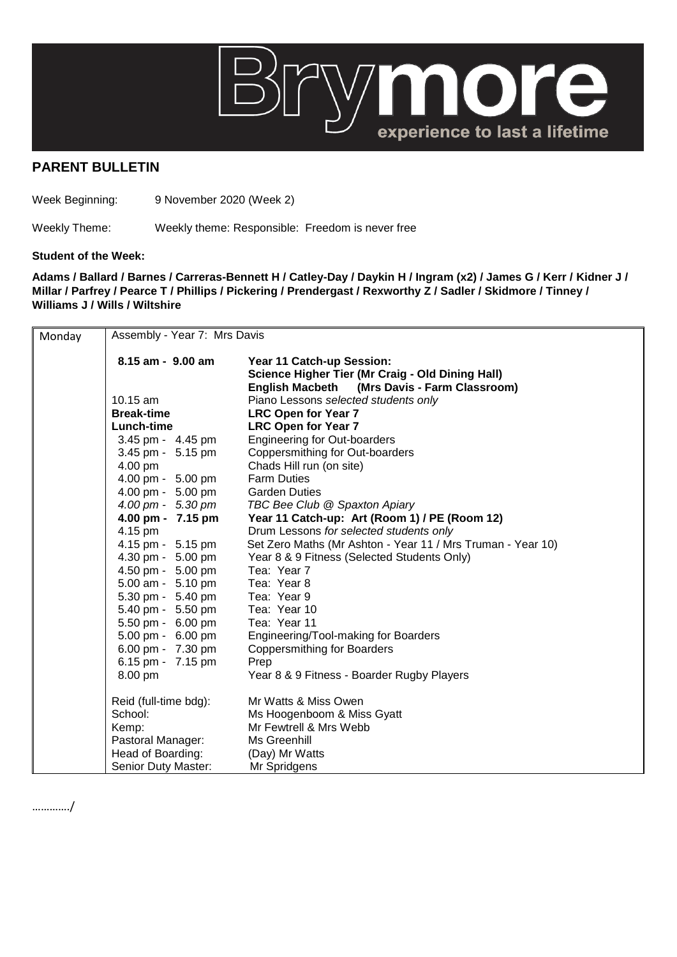

## **PARENT BULLETIN**

Week Beginning: 9 November 2020 (Week 2)

Weekly Theme: Weekly theme: Responsible: Freedom is never free

## **Student of the Week:**

…………./

**Adams / Ballard / Barnes / Carreras-Bennett H / Catley-Day / Daykin H / Ingram (x2) / James G / Kerr / Kidner J / Millar / Parfrey / Pearce T / Phillips / Pickering / Prendergast / Rexworthy Z / Sadler / Skidmore / Tinney / Williams J / Wills / Wiltshire**

| Monday | Assembly - Year 7: Mrs Davis |                                                                                                                               |  |
|--------|------------------------------|-------------------------------------------------------------------------------------------------------------------------------|--|
|        | 8.15 am - 9.00 am            | Year 11 Catch-up Session:<br>Science Higher Tier (Mr Craig - Old Dining Hall)<br>English Macbeth (Mrs Davis - Farm Classroom) |  |
|        | 10.15 am                     | Piano Lessons selected students only                                                                                          |  |
|        | <b>Break-time</b>            | <b>LRC Open for Year 7</b>                                                                                                    |  |
|        | Lunch-time                   | <b>LRC Open for Year 7</b>                                                                                                    |  |
|        | 3.45 pm - 4.45 pm            | <b>Engineering for Out-boarders</b>                                                                                           |  |
|        | 3.45 pm - 5.15 pm            | Coppersmithing for Out-boarders                                                                                               |  |
|        | 4.00 pm                      | Chads Hill run (on site)                                                                                                      |  |
|        | 4.00 pm - 5.00 pm            | <b>Farm Duties</b>                                                                                                            |  |
|        | 4.00 pm - 5.00 pm            | <b>Garden Duties</b>                                                                                                          |  |
|        | 4.00 pm - 5.30 pm            | TBC Bee Club @ Spaxton Apiary                                                                                                 |  |
|        | 4.00 pm - 7.15 pm            | Year 11 Catch-up: Art (Room 1) / PE (Room 12)                                                                                 |  |
|        | 4.15 pm                      | Drum Lessons for selected students only                                                                                       |  |
|        | 4.15 pm - 5.15 pm            | Set Zero Maths (Mr Ashton - Year 11 / Mrs Truman - Year 10)                                                                   |  |
|        | 4.30 pm - 5.00 pm            | Year 8 & 9 Fitness (Selected Students Only)                                                                                   |  |
|        | 4.50 pm - 5.00 pm            | Tea: Year 7                                                                                                                   |  |
|        | 5.00 am - 5.10 pm            | Tea: Year 8                                                                                                                   |  |
|        | 5.30 pm - 5.40 pm            | Tea: Year 9                                                                                                                   |  |
|        | 5.40 pm - 5.50 pm            | Tea: Year 10                                                                                                                  |  |
|        | 5.50 pm - 6.00 pm            | Tea: Year 11                                                                                                                  |  |
|        | 5.00 pm - 6.00 pm            | Engineering/Tool-making for Boarders                                                                                          |  |
|        | 6.00 pm - 7.30 pm            | <b>Coppersmithing for Boarders</b>                                                                                            |  |
|        | 6.15 pm - 7.15 pm            | Prep                                                                                                                          |  |
|        | 8.00 pm                      | Year 8 & 9 Fitness - Boarder Rugby Players                                                                                    |  |
|        | Reid (full-time bdg):        | Mr Watts & Miss Owen                                                                                                          |  |
|        | School:                      | Ms Hoogenboom & Miss Gyatt                                                                                                    |  |
|        | Kemp:                        | Mr Fewtrell & Mrs Webb                                                                                                        |  |
|        | Pastoral Manager:            | Ms Greenhill                                                                                                                  |  |
|        | Head of Boarding:            | (Day) Mr Watts                                                                                                                |  |
|        | Senior Duty Master:          | Mr Spridgens                                                                                                                  |  |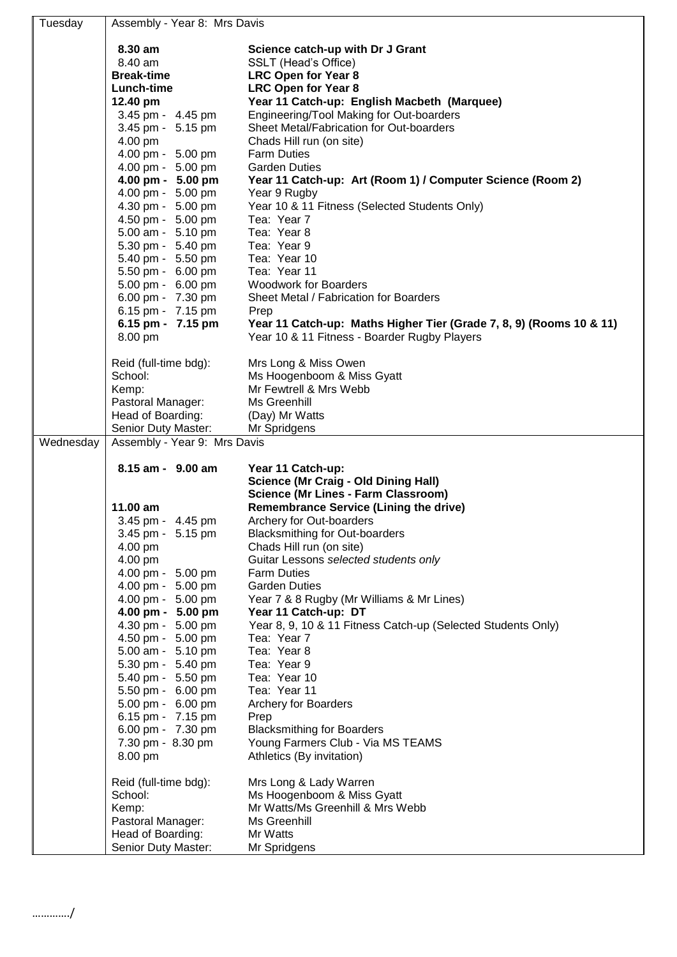| Tuesday   | Assembly - Year 8: Mrs Davis             |                                                                                      |  |  |
|-----------|------------------------------------------|--------------------------------------------------------------------------------------|--|--|
|           | 8.30 am                                  | Science catch-up with Dr J Grant                                                     |  |  |
|           | 8.40 am                                  | SSLT (Head's Office)                                                                 |  |  |
|           | <b>Break-time</b>                        | <b>LRC Open for Year 8</b>                                                           |  |  |
|           | Lunch-time                               | <b>LRC Open for Year 8</b>                                                           |  |  |
|           | 12.40 pm                                 | Year 11 Catch-up: English Macbeth (Marquee)                                          |  |  |
|           | 3.45 pm - 4.45 pm                        | Engineering/Tool Making for Out-boarders                                             |  |  |
|           | 3.45 pm - 5.15 pm                        | Sheet Metal/Fabrication for Out-boarders                                             |  |  |
|           | 4.00 pm                                  | Chads Hill run (on site)                                                             |  |  |
|           | 4.00 pm - 5.00 pm                        | <b>Farm Duties</b>                                                                   |  |  |
|           | 4.00 pm - 5.00 pm                        | <b>Garden Duties</b>                                                                 |  |  |
|           | 4.00 pm - 5.00 pm                        | Year 11 Catch-up: Art (Room 1) / Computer Science (Room 2)                           |  |  |
|           | 4.00 pm - 5.00 pm                        | Year 9 Rugby                                                                         |  |  |
|           | 4.30 pm - 5.00 pm<br>4.50 pm - 5.00 pm   | Year 10 & 11 Fitness (Selected Students Only)<br>Tea: Year 7                         |  |  |
|           | 5.00 am - 5.10 pm                        | Tea: Year 8                                                                          |  |  |
|           | 5.30 pm - 5.40 pm                        | Tea: Year 9                                                                          |  |  |
|           | 5.40 pm - 5.50 pm                        | Tea: Year 10                                                                         |  |  |
|           | 5.50 pm - 6.00 pm                        | Tea: Year 11                                                                         |  |  |
|           | 5.00 pm - 6.00 pm                        | <b>Woodwork for Boarders</b>                                                         |  |  |
|           | 6.00 pm - 7.30 pm                        | Sheet Metal / Fabrication for Boarders                                               |  |  |
|           | 6.15 pm - 7.15 pm                        | Prep                                                                                 |  |  |
|           | 6.15 pm - 7.15 pm                        | Year 11 Catch-up: Maths Higher Tier (Grade 7, 8, 9) (Rooms 10 & 11)                  |  |  |
|           | 8.00 pm                                  | Year 10 & 11 Fitness - Boarder Rugby Players                                         |  |  |
|           | Reid (full-time bdg):                    | Mrs Long & Miss Owen                                                                 |  |  |
|           | School:                                  | Ms Hoogenboom & Miss Gyatt                                                           |  |  |
|           | Kemp:                                    | Mr Fewtrell & Mrs Webb                                                               |  |  |
|           | Pastoral Manager:                        | Ms Greenhill                                                                         |  |  |
|           | Head of Boarding:                        | (Day) Mr Watts                                                                       |  |  |
|           | Senior Duty Master:                      | Mr Spridgens                                                                         |  |  |
|           | Assembly - Year 9: Mrs Davis             |                                                                                      |  |  |
| Wednesday |                                          |                                                                                      |  |  |
|           | 8.15 am - 9.00 am                        | Year 11 Catch-up:                                                                    |  |  |
|           |                                          | <b>Science (Mr Craig - Old Dining Hall)</b>                                          |  |  |
|           |                                          | <b>Science (Mr Lines - Farm Classroom)</b>                                           |  |  |
|           | 11.00 am                                 | <b>Remembrance Service (Lining the drive)</b>                                        |  |  |
|           | 3.45 pm - 4.45 pm                        | Archery for Out-boarders                                                             |  |  |
|           | 3.45 pm - 5.15 pm                        | <b>Blacksmithing for Out-boarders</b>                                                |  |  |
|           | 4.00 pm                                  | Chads Hill run (on site)                                                             |  |  |
|           | 4.00 pm                                  | Guitar Lessons selected students only                                                |  |  |
|           | 4.00 pm - 5.00 pm                        | <b>Farm Duties</b>                                                                   |  |  |
|           | 4.00 pm - 5.00 pm                        | <b>Garden Duties</b>                                                                 |  |  |
|           | 4.00 pm - 5.00 pm                        | Year 7 & 8 Rugby (Mr Williams & Mr Lines)                                            |  |  |
|           | 4.00 pm - 5.00 pm<br>4.30 pm - 5.00 pm   | Year 11 Catch-up: DT<br>Year 8, 9, 10 & 11 Fitness Catch-up (Selected Students Only) |  |  |
|           | 4.50 pm - 5.00 pm                        | Tea: Year 7                                                                          |  |  |
|           | 5.00 am - 5.10 pm                        | Tea: Year 8                                                                          |  |  |
|           | 5.30 pm - 5.40 pm                        | Tea: Year 9                                                                          |  |  |
|           | 5.40 pm - 5.50 pm                        | Tea: Year 10                                                                         |  |  |
|           | 5.50 pm - 6.00 pm                        | Tea: Year 11                                                                         |  |  |
|           | 5.00 pm - 6.00 pm                        | Archery for Boarders                                                                 |  |  |
|           | 6.15 pm - 7.15 pm                        | Prep                                                                                 |  |  |
|           | 6.00 pm - 7.30 pm                        | <b>Blacksmithing for Boarders</b>                                                    |  |  |
|           | 7.30 pm - 8.30 pm<br>8.00 pm             | Young Farmers Club - Via MS TEAMS<br>Athletics (By invitation)                       |  |  |
|           |                                          |                                                                                      |  |  |
|           | Reid (full-time bdg):                    | Mrs Long & Lady Warren                                                               |  |  |
|           | School:<br>Kemp:                         | Ms Hoogenboom & Miss Gyatt<br>Mr Watts/Ms Greenhill & Mrs Webb                       |  |  |
|           | Pastoral Manager:                        | Ms Greenhill                                                                         |  |  |
|           | Head of Boarding:<br>Senior Duty Master: | Mr Watts<br>Mr Spridgens                                                             |  |  |

…………./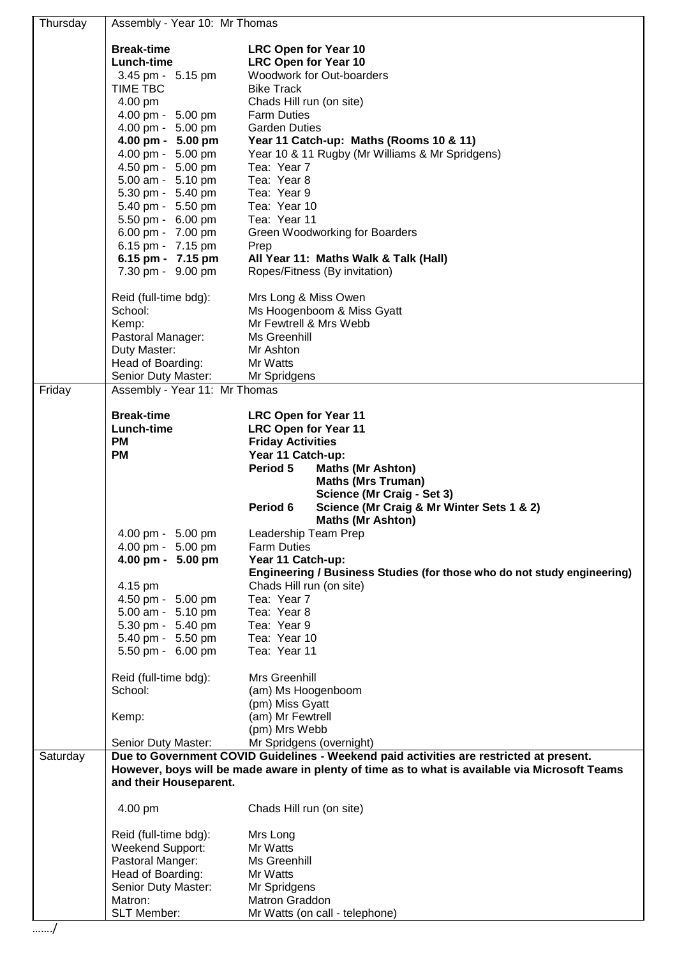| Thursday | Assembly - Year 10: Mr Thomas                                                                  |                                                                                                                     |  |
|----------|------------------------------------------------------------------------------------------------|---------------------------------------------------------------------------------------------------------------------|--|
|          | <b>Break-time</b>                                                                              | <b>LRC Open for Year 10</b>                                                                                         |  |
|          | Lunch-time                                                                                     | <b>LRC Open for Year 10</b>                                                                                         |  |
|          | 3.45 pm - 5.15 pm                                                                              | Woodwork for Out-boarders                                                                                           |  |
|          | TIME TBC                                                                                       | <b>Bike Track</b>                                                                                                   |  |
|          | 4.00 pm                                                                                        | Chads Hill run (on site)                                                                                            |  |
|          | 4.00 pm - 5.00 pm                                                                              | <b>Farm Duties</b>                                                                                                  |  |
|          | 4.00 pm - 5.00 pm                                                                              | <b>Garden Duties</b>                                                                                                |  |
|          | 4.00 pm - 5.00 pm                                                                              | Year 11 Catch-up: Maths (Rooms 10 & 11)                                                                             |  |
|          | 4.00 pm - 5.00 pm                                                                              | Year 10 & 11 Rugby (Mr Williams & Mr Spridgens)                                                                     |  |
|          | 4.50 pm - 5.00 pm                                                                              | Tea: Year 7                                                                                                         |  |
|          | 5.00 am - 5.10 pm                                                                              | Tea: Year 8                                                                                                         |  |
|          | 5.30 pm - 5.40 pm                                                                              | Tea: Year 9<br>Tea: Year 10                                                                                         |  |
|          | 5.40 pm - 5.50 pm<br>5.50 pm - 6.00 pm                                                         | Tea: Year 11                                                                                                        |  |
|          | 6.00 pm - 7.00 pm                                                                              | Green Woodworking for Boarders                                                                                      |  |
|          | 6.15 pm - 7.15 pm                                                                              | Prep                                                                                                                |  |
|          | 6.15 pm - 7.15 pm                                                                              | All Year 11: Maths Walk & Talk (Hall)                                                                               |  |
|          | 7.30 pm - 9.00 pm                                                                              | Ropes/Fitness (By invitation)                                                                                       |  |
|          |                                                                                                |                                                                                                                     |  |
|          | Reid (full-time bdg):                                                                          | Mrs Long & Miss Owen                                                                                                |  |
|          | School:                                                                                        | Ms Hoogenboom & Miss Gyatt                                                                                          |  |
|          | Kemp:                                                                                          | Mr Fewtrell & Mrs Webb                                                                                              |  |
|          | Pastoral Manager:                                                                              | Ms Greenhill                                                                                                        |  |
|          | Duty Master:                                                                                   | Mr Ashton                                                                                                           |  |
|          | Head of Boarding:                                                                              | Mr Watts                                                                                                            |  |
|          | Senior Duty Master:                                                                            | Mr Spridgens                                                                                                        |  |
| Friday   | Assembly - Year 11: Mr Thomas                                                                  |                                                                                                                     |  |
|          | <b>Break-time</b>                                                                              | <b>LRC Open for Year 11</b>                                                                                         |  |
|          | Lunch-time                                                                                     | <b>LRC Open for Year 11</b>                                                                                         |  |
|          | <b>PM</b>                                                                                      | <b>Friday Activities</b>                                                                                            |  |
|          | <b>PM</b>                                                                                      | Year 11 Catch-up:                                                                                                   |  |
|          |                                                                                                | Period 5<br><b>Maths (Mr Ashton)</b>                                                                                |  |
|          |                                                                                                | <b>Maths (Mrs Truman)</b>                                                                                           |  |
|          |                                                                                                | Science (Mr Craig - Set 3)                                                                                          |  |
|          |                                                                                                | Science (Mr Craig & Mr Winter Sets 1 & 2)<br>Period 6                                                               |  |
|          |                                                                                                | <b>Maths (Mr Ashton)</b>                                                                                            |  |
|          | 4.00 pm - 5.00 pm                                                                              | Leadership Team Prep                                                                                                |  |
|          | 4.00 pm - 5.00 pm                                                                              | <b>Farm Duties</b>                                                                                                  |  |
|          | 4.00 pm - 5.00 pm                                                                              | Year 11 Catch-up:<br>Engineering / Business Studies (for those who do not study engineering)                        |  |
|          | 4.15 pm                                                                                        | Chads Hill run (on site)                                                                                            |  |
|          | 4.50 pm - 5.00 pm                                                                              | Tea: Year 7                                                                                                         |  |
|          | 5.00 am - 5.10 pm                                                                              | Tea: Year 8                                                                                                         |  |
|          | 5.30 pm - 5.40 pm                                                                              | Tea: Year 9                                                                                                         |  |
|          | 5.40 pm - 5.50 pm                                                                              | Tea: Year 10                                                                                                        |  |
|          | 5.50 pm - 6.00 pm                                                                              | Tea: Year 11                                                                                                        |  |
|          |                                                                                                |                                                                                                                     |  |
|          | Reid (full-time bdg):                                                                          | Mrs Greenhill                                                                                                       |  |
|          | School:                                                                                        | (am) Ms Hoogenboom                                                                                                  |  |
|          |                                                                                                | (pm) Miss Gyatt                                                                                                     |  |
|          | Kemp:                                                                                          | (am) Mr Fewtrell                                                                                                    |  |
|          |                                                                                                | (pm) Mrs Webb                                                                                                       |  |
| Saturday | Senior Duty Master:                                                                            | Mr Spridgens (overnight)<br>Due to Government COVID Guidelines - Weekend paid activities are restricted at present. |  |
|          | However, boys will be made aware in plenty of time as to what is available via Microsoft Teams |                                                                                                                     |  |
|          | and their Houseparent.                                                                         |                                                                                                                     |  |
|          |                                                                                                |                                                                                                                     |  |
|          | 4.00 pm                                                                                        | Chads Hill run (on site)                                                                                            |  |
|          | Reid (full-time bdg):                                                                          | Mrs Long                                                                                                            |  |
|          | Weekend Support:                                                                               | Mr Watts                                                                                                            |  |
|          | Pastoral Manger:                                                                               | Ms Greenhill                                                                                                        |  |
|          | Head of Boarding:                                                                              | Mr Watts                                                                                                            |  |
|          | Senior Duty Master:                                                                            | Mr Spridgens                                                                                                        |  |
|          | Matron:                                                                                        | Matron Graddon                                                                                                      |  |
|          | SLT Member:                                                                                    | Mr Watts (on call - telephone)                                                                                      |  |